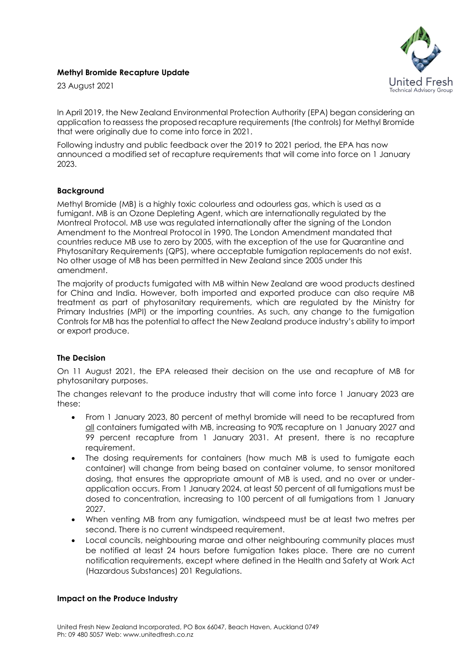## **Methyl Bromide Recapture Update**

23 August 2021



In April 2019, the New Zealand Environmental Protection Authority (EPA) began considering an application to reassess the proposed recapture requirements (the controls) for Methyl Bromide that were originally due to come into force in 2021.

Following industry and public feedback over the 2019 to 2021 period, the EPA has now announced a modified set of recapture requirements that will come into force on 1 January 2023.

## **Background**

Methyl Bromide (MB) is a highly toxic colourless and odourless gas, which is used as a fumigant. MB is an Ozone Depleting Agent, which are internationally regulated by the Montreal Protocol. MB use was regulated internationally after the signing of the London Amendment to the Montreal Protocol in 1990. The London Amendment mandated that countries reduce MB use to zero by 2005, with the exception of the use for Quarantine and Phytosanitary Requirements (QPS), where acceptable fumigation replacements do not exist. No other usage of MB has been permitted in New Zealand since 2005 under this amendment.

The majority of products fumigated with MB within New Zealand are wood products destined for China and India. However, both imported and exported produce can also require MB treatment as part of phytosanitary requirements, which are regulated by the Ministry for Primary Industries (MPI) or the importing countries. As such, any change to the fumigation Controls for MB has the potential to affect the New Zealand produce industry's ability to import or export produce.

## **The Decision**

On 11 August 2021, the EPA released their decision on the use and recapture of MB for phytosanitary purposes.

The changes relevant to the produce industry that will come into force 1 January 2023 are these:

- From 1 January 2023, 80 percent of methyl bromide will need to be recaptured from all containers fumigated with MB, increasing to 90% recapture on 1 January 2027 and 99 percent recapture from 1 January 2031. At present, there is no recapture requirement.
- The dosing requirements for containers (how much MB is used to fumigate each container) will change from being based on container volume, to sensor monitored dosing, that ensures the appropriate amount of MB is used, and no over or underapplication occurs. From 1 January 2024, at least 50 percent of all fumigations must be dosed to concentration, increasing to 100 percent of all fumigations from 1 January 2027.
- When venting MB from any fumigation, windspeed must be at least two metres per second. There is no current windspeed requirement.
- Local councils, neighbouring marae and other neighbouring community places must be notified at least 24 hours before fumigation takes place. There are no current notification requirements, except where defined in the Health and Safety at Work Act (Hazardous Substances) 201 Regulations.

## **Impact on the Produce Industry**